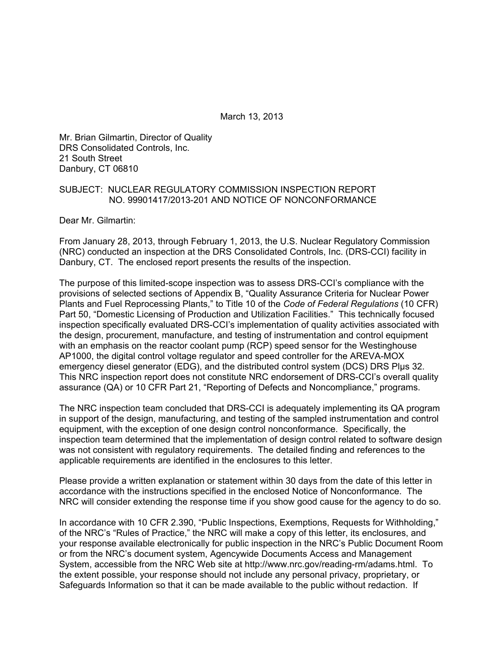March 13, 2013

Mr. Brian Gilmartin, Director of Quality DRS Consolidated Controls, Inc. 21 South Street Danbury, CT 06810

### SUBJECT: NUCLEAR REGULATORY COMMISSION INSPECTION REPORT NO. 99901417/2013-201 AND NOTICE OF NONCONFORMANCE

Dear Mr. Gilmartin:

From January 28, 2013, through February 1, 2013, the U.S. Nuclear Regulatory Commission (NRC) conducted an inspection at the DRS Consolidated Controls, Inc. (DRS-CCI) facility in Danbury, CT. The enclosed report presents the results of the inspection.

The purpose of this limited-scope inspection was to assess DRS-CCI's compliance with the provisions of selected sections of Appendix B, "Quality Assurance Criteria for Nuclear Power Plants and Fuel Reprocessing Plants," to Title 10 of the *Code of Federal Regulations* (10 CFR) Part 50, "Domestic Licensing of Production and Utilization Facilities." This technically focused inspection specifically evaluated DRS-CCI's implementation of quality activities associated with the design, procurement, manufacture, and testing of instrumentation and control equipment with an emphasis on the reactor coolant pump (RCP) speed sensor for the Westinghouse AP1000, the digital control voltage regulator and speed controller for the AREVA-MOX emergency diesel generator (EDG), and the distributed control system (DCS) DRS Plus 32. This NRC inspection report does not constitute NRC endorsement of DRS-CCI's overall quality assurance (QA) or 10 CFR Part 21, "Reporting of Defects and Noncompliance," programs.

The NRC inspection team concluded that DRS-CCI is adequately implementing its QA program in support of the design, manufacturing, and testing of the sampled instrumentation and control equipment, with the exception of one design control nonconformance. Specifically, the inspection team determined that the implementation of design control related to software design was not consistent with regulatory requirements. The detailed finding and references to the applicable requirements are identified in the enclosures to this letter.

Please provide a written explanation or statement within 30 days from the date of this letter in accordance with the instructions specified in the enclosed Notice of Nonconformance. The NRC will consider extending the response time if you show good cause for the agency to do so.

In accordance with 10 CFR 2.390, "Public Inspections, Exemptions, Requests for Withholding," of the NRC's "Rules of Practice," the NRC will make a copy of this letter, its enclosures, and your response available electronically for public inspection in the NRC's Public Document Room or from the NRC's document system, Agencywide Documents Access and Management System, accessible from the NRC Web site at http://www.nrc.gov/reading-rm/adams.html. To the extent possible, your response should not include any personal privacy, proprietary, or Safeguards Information so that it can be made available to the public without redaction. If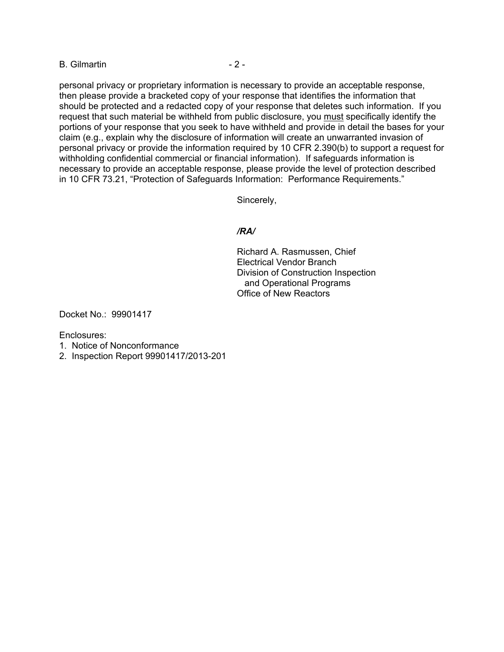B. Gilmartin - 2 -

personal privacy or proprietary information is necessary to provide an acceptable response, then please provide a bracketed copy of your response that identifies the information that should be protected and a redacted copy of your response that deletes such information. If you request that such material be withheld from public disclosure, you must specifically identify the portions of your response that you seek to have withheld and provide in detail the bases for your claim (e.g., explain why the disclosure of information will create an unwarranted invasion of personal privacy or provide the information required by 10 CFR 2.390(b) to support a request for withholding confidential commercial or financial information). If safeguards information is necessary to provide an acceptable response, please provide the level of protection described in 10 CFR 73.21, "Protection of Safeguards Information: Performance Requirements."

Sincerely,

## */RA/*

Richard A. Rasmussen, Chief Electrical Vendor Branch Division of Construction Inspection and Operational Programs Office of New Reactors

Docket No.: 99901417

Enclosures:

- 1. Notice of Nonconformance
- 2. Inspection Report 99901417/2013-201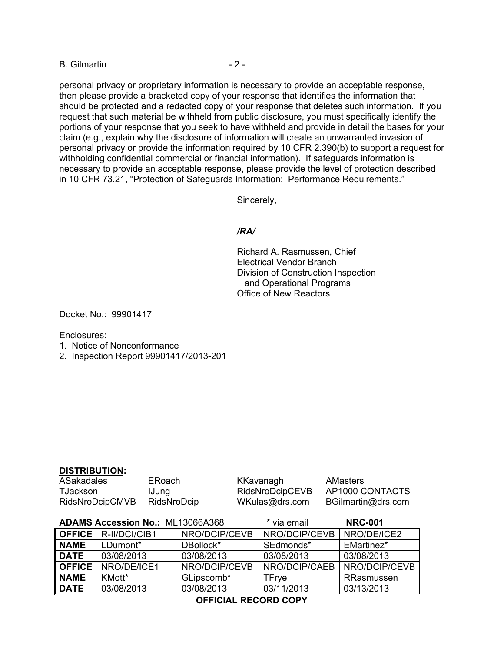B. Gilmartin - 2 -

personal privacy or proprietary information is necessary to provide an acceptable response, then please provide a bracketed copy of your response that identifies the information that should be protected and a redacted copy of your response that deletes such information. If you request that such material be withheld from public disclosure, you must specifically identify the portions of your response that you seek to have withheld and provide in detail the bases for your claim (e.g., explain why the disclosure of information will create an unwarranted invasion of personal privacy or provide the information required by 10 CFR 2.390(b) to support a request for withholding confidential commercial or financial information). If safeguards information is necessary to provide an acceptable response, please provide the level of protection described in 10 CFR 73.21, "Protection of Safeguards Information: Performance Requirements."

Sincerely,

### */RA/*

Richard A. Rasmussen, Chief Electrical Vendor Branch Division of Construction Inspection and Operational Programs Office of New Reactors

Docket No.: 99901417

Enclosures:

- 1. Notice of Nonconformance
- 2. Inspection Report 99901417/2013-201

### **DISTRIBUTION:**

ASakadales ERoach KKavanagh AMasters TJackson IJung RidsNroDcipCEVB AP1000 CONTACTS RidsNroDcipCMVB RidsNroDcip WKulas@drs.com BGilmartin@drs.com

| <b>ADAMS Accession No.: ML13066A368</b> |                               | * via email   | <b>NRC-001</b> |               |
|-----------------------------------------|-------------------------------|---------------|----------------|---------------|
|                                         | <b>OFFICE</b>   R-II/DCI/CIB1 | NRO/DCIP/CEVB | NRO/DCIP/CEVB  | NRO/DE/ICE2   |
| <b>NAME</b>                             | LDumont*                      | DBollock*     | SEdmonds*      | EMartinez*    |
| <b>DATE</b>                             | 03/08/2013                    | 03/08/2013    | 03/08/2013     | 03/08/2013    |
| <b>OFFICE</b>                           | NRO/DE/ICE1                   | NRO/DCIP/CEVB | NRO/DCIP/CAEB  | NRO/DCIP/CEVB |
| <b>NAME</b>                             | KMott*                        | GLipscomb*    | TFrve          | RRasmussen    |
| <b>DATE</b>                             | 03/08/2013                    | 03/08/2013    | 03/11/2013     | 03/13/2013    |

**OFFICIAL RECORD COPY**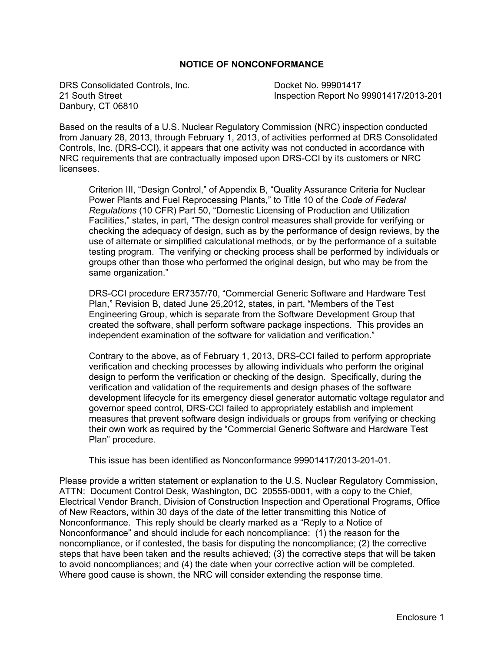## **NOTICE OF NONCONFORMANCE**

DRS Consolidated Controls, Inc. Docket No. 99901417 Danbury, CT 06810

21 South Street Inspection Report No 99901417/2013-201

Based on the results of a U.S. Nuclear Regulatory Commission (NRC) inspection conducted from January 28, 2013, through February 1, 2013, of activities performed at DRS Consolidated Controls, Inc. (DRS-CCI), it appears that one activity was not conducted in accordance with NRC requirements that are contractually imposed upon DRS-CCI by its customers or NRC licensees.

Criterion III, "Design Control," of Appendix B, "Quality Assurance Criteria for Nuclear Power Plants and Fuel Reprocessing Plants," to Title 10 of the *Code of Federal Regulations* (10 CFR) Part 50, "Domestic Licensing of Production and Utilization Facilities," states, in part, "The design control measures shall provide for verifying or checking the adequacy of design, such as by the performance of design reviews, by the use of alternate or simplified calculational methods, or by the performance of a suitable testing program. The verifying or checking process shall be performed by individuals or groups other than those who performed the original design, but who may be from the same organization."

DRS-CCI procedure ER7357/70, "Commercial Generic Software and Hardware Test Plan," Revision B, dated June 25,2012, states, in part, "Members of the Test Engineering Group, which is separate from the Software Development Group that created the software, shall perform software package inspections. This provides an independent examination of the software for validation and verification."

Contrary to the above, as of February 1, 2013, DRS-CCI failed to perform appropriate verification and checking processes by allowing individuals who perform the original design to perform the verification or checking of the design. Specifically, during the verification and validation of the requirements and design phases of the software development lifecycle for its emergency diesel generator automatic voltage regulator and governor speed control, DRS-CCI failed to appropriately establish and implement measures that prevent software design individuals or groups from verifying or checking their own work as required by the "Commercial Generic Software and Hardware Test Plan" procedure.

This issue has been identified as Nonconformance 99901417/2013-201-01.

Please provide a written statement or explanation to the U.S. Nuclear Regulatory Commission, ATTN: Document Control Desk, Washington, DC 20555-0001, with a copy to the Chief, Electrical Vendor Branch, Division of Construction Inspection and Operational Programs, Office of New Reactors, within 30 days of the date of the letter transmitting this Notice of Nonconformance. This reply should be clearly marked as a "Reply to a Notice of Nonconformance" and should include for each noncompliance: (1) the reason for the noncompliance, or if contested, the basis for disputing the noncompliance; (2) the corrective steps that have been taken and the results achieved; (3) the corrective steps that will be taken to avoid noncompliances; and (4) the date when your corrective action will be completed. Where good cause is shown, the NRC will consider extending the response time.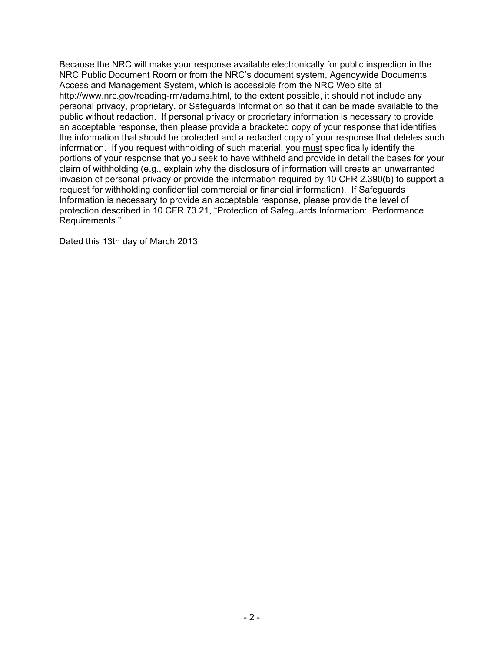Because the NRC will make your response available electronically for public inspection in the NRC Public Document Room or from the NRC's document system, Agencywide Documents Access and Management System, which is accessible from the NRC Web site at http://www.nrc.gov/reading-rm/adams.html, to the extent possible, it should not include any personal privacy, proprietary, or Safeguards Information so that it can be made available to the public without redaction. If personal privacy or proprietary information is necessary to provide an acceptable response, then please provide a bracketed copy of your response that identifies the information that should be protected and a redacted copy of your response that deletes such information. If you request withholding of such material, you must specifically identify the portions of your response that you seek to have withheld and provide in detail the bases for your claim of withholding (e.g., explain why the disclosure of information will create an unwarranted invasion of personal privacy or provide the information required by 10 CFR 2.390(b) to support a request for withholding confidential commercial or financial information). If Safeguards Information is necessary to provide an acceptable response, please provide the level of protection described in 10 CFR 73.21, "Protection of Safeguards Information: Performance Requirements."

Dated this 13th day of March 2013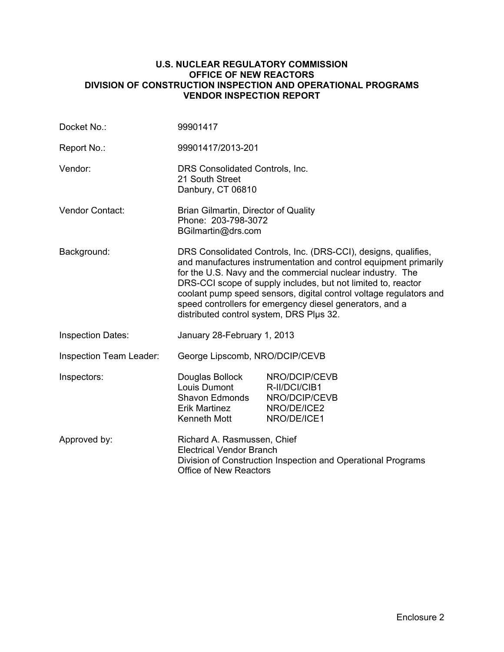### **U.S. NUCLEAR REGULATORY COMMISSION OFFICE OF NEW REACTORS DIVISION OF CONSTRUCTION INSPECTION AND OPERATIONAL PROGRAMS VENDOR INSPECTION REPORT**

| Docket No.:              | 99901417                                                                                                                                                                                                                                                                                                                                                                                                                                        |                                                                               |  |
|--------------------------|-------------------------------------------------------------------------------------------------------------------------------------------------------------------------------------------------------------------------------------------------------------------------------------------------------------------------------------------------------------------------------------------------------------------------------------------------|-------------------------------------------------------------------------------|--|
| Report No.:              | 99901417/2013-201                                                                                                                                                                                                                                                                                                                                                                                                                               |                                                                               |  |
| Vendor:                  | DRS Consolidated Controls, Inc.<br>21 South Street<br>Danbury, CT 06810                                                                                                                                                                                                                                                                                                                                                                         |                                                                               |  |
| Vendor Contact:          | Brian Gilmartin, Director of Quality<br>Phone: 203-798-3072<br>BGilmartin@drs.com                                                                                                                                                                                                                                                                                                                                                               |                                                                               |  |
| Background:              | DRS Consolidated Controls, Inc. (DRS-CCI), designs, qualifies,<br>and manufactures instrumentation and control equipment primarily<br>for the U.S. Navy and the commercial nuclear industry. The<br>DRS-CCI scope of supply includes, but not limited to, reactor<br>coolant pump speed sensors, digital control voltage regulators and<br>speed controllers for emergency diesel generators, and a<br>distributed control system, DRS Plus 32. |                                                                               |  |
| <b>Inspection Dates:</b> | January 28-February 1, 2013                                                                                                                                                                                                                                                                                                                                                                                                                     |                                                                               |  |
| Inspection Team Leader:  | George Lipscomb, NRO/DCIP/CEVB                                                                                                                                                                                                                                                                                                                                                                                                                  |                                                                               |  |
| Inspectors:              | Douglas Bollock<br>Louis Dumont<br><b>Shavon Edmonds</b><br>Erik Martinez<br>Kenneth Mott                                                                                                                                                                                                                                                                                                                                                       | NRO/DCIP/CEVB<br>R-II/DCI/CIB1<br>NRO/DCIP/CEVB<br>NRO/DE/ICE2<br>NRO/DE/ICE1 |  |
| Approved by:             | Richard A. Rasmussen, Chief<br><b>Electrical Vendor Branch</b><br>Division of Construction Inspection and Operational Programs<br><b>Office of New Reactors</b>                                                                                                                                                                                                                                                                                 |                                                                               |  |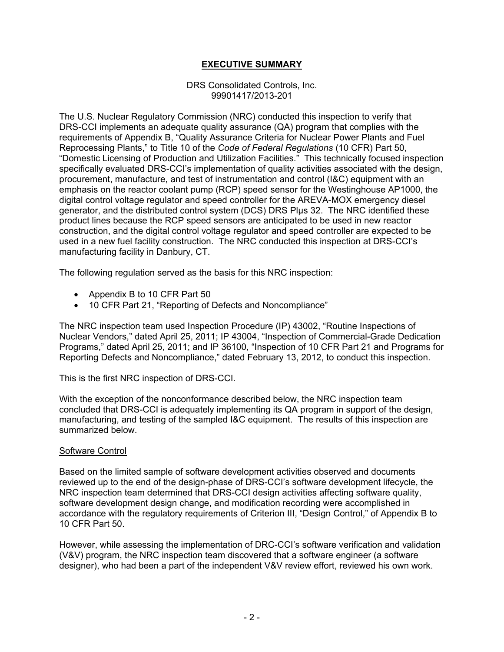## **EXECUTIVE SUMMARY**

### DRS Consolidated Controls, Inc. 99901417/2013-201

The U.S. Nuclear Regulatory Commission (NRC) conducted this inspection to verify that DRS-CCI implements an adequate quality assurance (QA) program that complies with the requirements of Appendix B, "Quality Assurance Criteria for Nuclear Power Plants and Fuel Reprocessing Plants," to Title 10 of the *Code of Federal Regulations* (10 CFR) Part 50, "Domestic Licensing of Production and Utilization Facilities." This technically focused inspection specifically evaluated DRS-CCI's implementation of quality activities associated with the design, procurement, manufacture, and test of instrumentation and control (I&C) equipment with an emphasis on the reactor coolant pump (RCP) speed sensor for the Westinghouse AP1000, the digital control voltage regulator and speed controller for the AREVA-MOX emergency diesel generator, and the distributed control system (DCS) DRS Plµs 32. The NRC identified these product lines because the RCP speed sensors are anticipated to be used in new reactor construction, and the digital control voltage regulator and speed controller are expected to be used in a new fuel facility construction. The NRC conducted this inspection at DRS-CCI's manufacturing facility in Danbury, CT.

The following regulation served as the basis for this NRC inspection:

- Appendix B to 10 CFR Part 50
- 10 CFR Part 21, "Reporting of Defects and Noncompliance"

The NRC inspection team used Inspection Procedure (IP) 43002, "Routine Inspections of Nuclear Vendors," dated April 25, 2011; IP 43004, "Inspection of Commercial-Grade Dedication Programs," dated April 25, 2011; and IP 36100, "Inspection of 10 CFR Part 21 and Programs for Reporting Defects and Noncompliance," dated February 13, 2012, to conduct this inspection.

This is the first NRC inspection of DRS-CCI.

With the exception of the nonconformance described below, the NRC inspection team concluded that DRS-CCI is adequately implementing its QA program in support of the design, manufacturing, and testing of the sampled I&C equipment. The results of this inspection are summarized below.

### Software Control

Based on the limited sample of software development activities observed and documents reviewed up to the end of the design-phase of DRS-CCI's software development lifecycle, the NRC inspection team determined that DRS-CCI design activities affecting software quality, software development design change, and modification recording were accomplished in accordance with the regulatory requirements of Criterion III, "Design Control," of Appendix B to 10 CFR Part 50.

However, while assessing the implementation of DRC-CCI's software verification and validation (V&V) program, the NRC inspection team discovered that a software engineer (a software designer), who had been a part of the independent V&V review effort, reviewed his own work.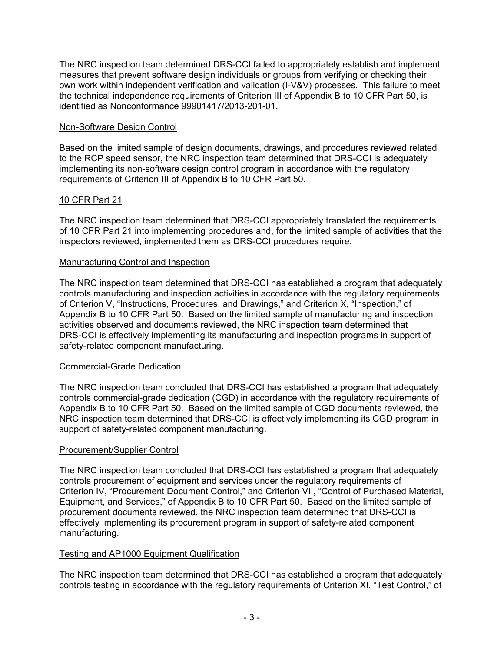The NRC inspection team determined DRS-CCI failed to appropriately establish and implement measures that prevent software design individuals or groups from verifying or checking their own work within independent verification and validation (I-V&V) processes. This failure to meet the technical independence requirements of Criterion III of Appendix B to 10 CFR Part 50, is identified as Nonconformance 99901417/2013-201-01.

### Non-Software Design Control

Based on the limited sample of design documents, drawings, and procedures reviewed related to the RCP speed sensor, the NRC inspection team determined that DRS-CCI is adequately implementing its non-software design control program in accordance with the regulatory requirements of Criterion III of Appendix B to 10 CFR Part 50.

## 10 CFR Part 21

The NRC inspection team determined that DRS-CCI appropriately translated the requirements of 10 CFR Part 21 into implementing procedures and, for the limited sample of activities that the inspectors reviewed, implemented them as DRS-CCI procedures require.

### Manufacturing Control and Inspection

The NRC inspection team determined that DRS-CCI has established a program that adequately controls manufacturing and inspection activities in accordance with the regulatory requirements of Criterion V, "Instructions, Procedures, and Drawings," and Criterion X, "Inspection," of Appendix B to 10 CFR Part 50. Based on the limited sample of manufacturing and inspection activities observed and documents reviewed, the NRC inspection team determined that DRS-CCI is effectively implementing its manufacturing and inspection programs in support of safety-related component manufacturing.

## Commercial-Grade Dedication

The NRC inspection team concluded that DRS-CCI has established a program that adequately controls commercial-grade dedication (CGD) in accordance with the regulatory requirements of Appendix B to 10 CFR Part 50. Based on the limited sample of CGD documents reviewed, the NRC inspection team determined that DRS-CCI is effectively implementing its CGD program in support of safety-related component manufacturing.

## Procurement/Supplier Control

The NRC inspection team concluded that DRS-CCI has established a program that adequately controls procurement of equipment and services under the regulatory requirements of Criterion IV, "Procurement Document Control," and Criterion VII, "Control of Purchased Material, Equipment, and Services," of Appendix B to 10 CFR Part 50. Based on the limited sample of procurement documents reviewed, the NRC inspection team determined that DRS-CCI is effectively implementing its procurement program in support of safety-related component manufacturing.

## Testing and AP1000 Equipment Qualification

The NRC inspection team determined that DRS-CCI has established a program that adequately controls testing in accordance with the regulatory requirements of Criterion XI, "Test Control," of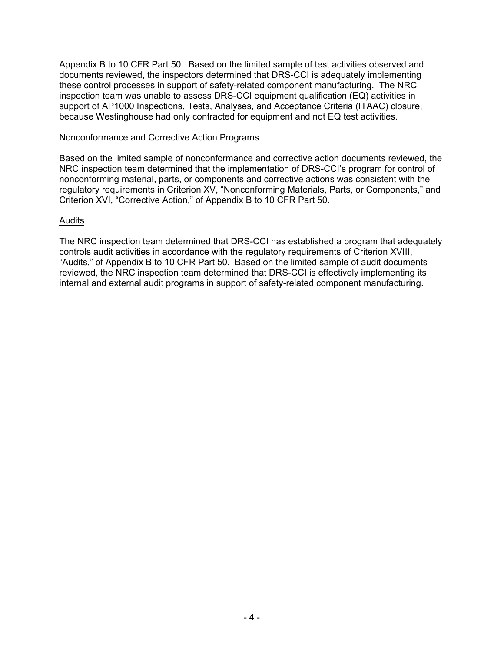Appendix B to 10 CFR Part 50. Based on the limited sample of test activities observed and documents reviewed, the inspectors determined that DRS-CCI is adequately implementing these control processes in support of safety-related component manufacturing. The NRC inspection team was unable to assess DRS-CCI equipment qualification (EQ) activities in support of AP1000 Inspections, Tests, Analyses, and Acceptance Criteria (ITAAC) closure, because Westinghouse had only contracted for equipment and not EQ test activities.

### Nonconformance and Corrective Action Programs

Based on the limited sample of nonconformance and corrective action documents reviewed, the NRC inspection team determined that the implementation of DRS-CCI's program for control of nonconforming material, parts, or components and corrective actions was consistent with the regulatory requirements in Criterion XV, "Nonconforming Materials, Parts, or Components," and Criterion XVI, "Corrective Action," of Appendix B to 10 CFR Part 50.

## Audits

The NRC inspection team determined that DRS-CCI has established a program that adequately controls audit activities in accordance with the regulatory requirements of Criterion XVIII, "Audits," of Appendix B to 10 CFR Part 50. Based on the limited sample of audit documents reviewed, the NRC inspection team determined that DRS-CCI is effectively implementing its internal and external audit programs in support of safety-related component manufacturing.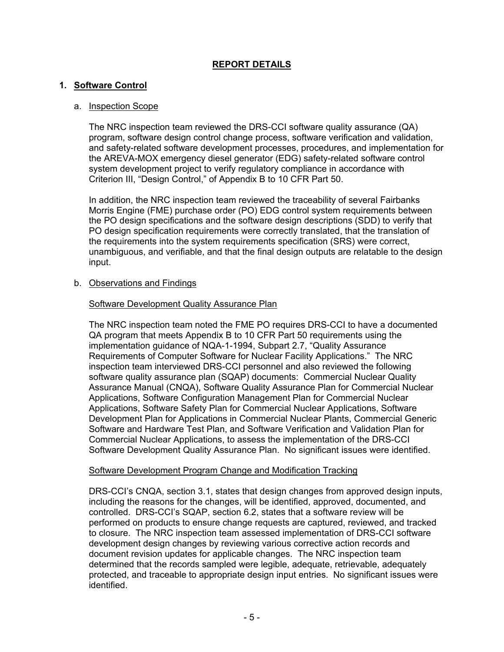# **REPORT DETAILS**

### **1. Software Control**

### a. Inspection Scope

The NRC inspection team reviewed the DRS-CCI software quality assurance (QA) program, software design control change process, software verification and validation, and safety-related software development processes, procedures, and implementation for the AREVA-MOX emergency diesel generator (EDG) safety-related software control system development project to verify regulatory compliance in accordance with Criterion III, "Design Control," of Appendix B to 10 CFR Part 50.

In addition, the NRC inspection team reviewed the traceability of several Fairbanks Morris Engine (FME) purchase order (PO) EDG control system requirements between the PO design specifications and the software design descriptions (SDD) to verify that PO design specification requirements were correctly translated, that the translation of the requirements into the system requirements specification (SRS) were correct, unambiguous, and verifiable, and that the final design outputs are relatable to the design input.

### b. Observations and Findings

### Software Development Quality Assurance Plan

The NRC inspection team noted the FME PO requires DRS-CCI to have a documented QA program that meets Appendix B to 10 CFR Part 50 requirements using the implementation guidance of NQA-1-1994, Subpart 2.7, "Quality Assurance Requirements of Computer Software for Nuclear Facility Applications." The NRC inspection team interviewed DRS-CCI personnel and also reviewed the following software quality assurance plan (SQAP) documents: Commercial Nuclear Quality Assurance Manual (CNQA), Software Quality Assurance Plan for Commercial Nuclear Applications, Software Configuration Management Plan for Commercial Nuclear Applications, Software Safety Plan for Commercial Nuclear Applications, Software Development Plan for Applications in Commercial Nuclear Plants, Commercial Generic Software and Hardware Test Plan, and Software Verification and Validation Plan for Commercial Nuclear Applications, to assess the implementation of the DRS-CCI Software Development Quality Assurance Plan. No significant issues were identified.

### Software Development Program Change and Modification Tracking

DRS-CCI's CNQA, section 3.1, states that design changes from approved design inputs, including the reasons for the changes, will be identified, approved, documented, and controlled. DRS-CCI's SQAP, section 6.2, states that a software review will be performed on products to ensure change requests are captured, reviewed, and tracked to closure. The NRC inspection team assessed implementation of DRS-CCI software development design changes by reviewing various corrective action records and document revision updates for applicable changes. The NRC inspection team determined that the records sampled were legible, adequate, retrievable, adequately protected, and traceable to appropriate design input entries. No significant issues were identified.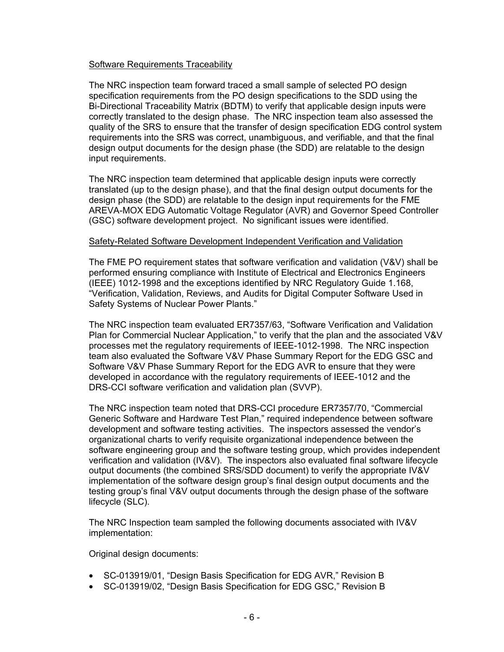### Software Requirements Traceability

The NRC inspection team forward traced a small sample of selected PO design specification requirements from the PO design specifications to the SDD using the Bi-Directional Traceability Matrix (BDTM) to verify that applicable design inputs were correctly translated to the design phase. The NRC inspection team also assessed the quality of the SRS to ensure that the transfer of design specification EDG control system requirements into the SRS was correct, unambiguous, and verifiable, and that the final design output documents for the design phase (the SDD) are relatable to the design input requirements.

The NRC inspection team determined that applicable design inputs were correctly translated (up to the design phase), and that the final design output documents for the design phase (the SDD) are relatable to the design input requirements for the FME AREVA-MOX EDG Automatic Voltage Regulator (AVR) and Governor Speed Controller (GSC) software development project. No significant issues were identified.

### Safety-Related Software Development Independent Verification and Validation

The FME PO requirement states that software verification and validation (V&V) shall be performed ensuring compliance with Institute of Electrical and Electronics Engineers (IEEE) 1012-1998 and the exceptions identified by NRC Regulatory Guide 1.168, "Verification, Validation, Reviews, and Audits for Digital Computer Software Used in Safety Systems of Nuclear Power Plants."

The NRC inspection team evaluated ER7357/63, "Software Verification and Validation Plan for Commercial Nuclear Application," to verify that the plan and the associated V&V processes met the regulatory requirements of IEEE-1012-1998. The NRC inspection team also evaluated the Software V&V Phase Summary Report for the EDG GSC and Software V&V Phase Summary Report for the EDG AVR to ensure that they were developed in accordance with the regulatory requirements of IEEE-1012 and the DRS-CCI software verification and validation plan (SVVP).

The NRC inspection team noted that DRS-CCI procedure ER7357/70, "Commercial Generic Software and Hardware Test Plan," required independence between software development and software testing activities. The inspectors assessed the vendor's organizational charts to verify requisite organizational independence between the software engineering group and the software testing group, which provides independent verification and validation (IV&V). The inspectors also evaluated final software lifecycle output documents (the combined SRS/SDD document) to verify the appropriate IV&V implementation of the software design group's final design output documents and the testing group's final V&V output documents through the design phase of the software lifecycle (SLC).

The NRC Inspection team sampled the following documents associated with IV&V implementation:

Original design documents:

- SC-013919/01, "Design Basis Specification for EDG AVR," Revision B
- SC-013919/02, "Design Basis Specification for EDG GSC," Revision B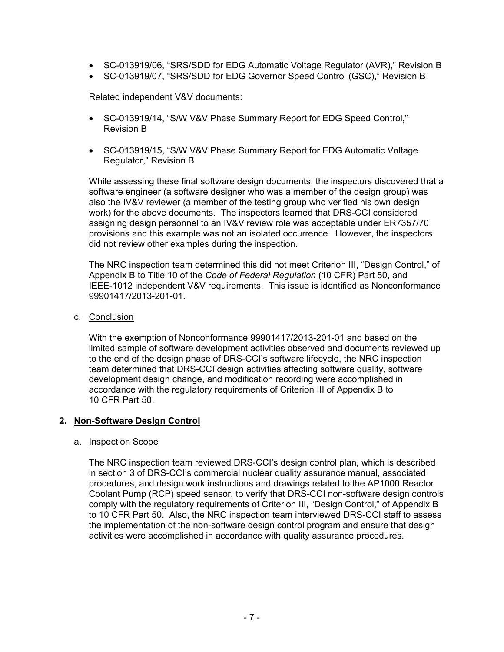- SC-013919/06, "SRS/SDD for EDG Automatic Voltage Regulator (AVR)," Revision B
- SC-013919/07, "SRS/SDD for EDG Governor Speed Control (GSC)," Revision B

Related independent V&V documents:

- SC-013919/14, "S/W V&V Phase Summary Report for EDG Speed Control," Revision B
- SC-013919/15, "S/W V&V Phase Summary Report for EDG Automatic Voltage Regulator," Revision B

While assessing these final software design documents, the inspectors discovered that a software engineer (a software designer who was a member of the design group) was also the IV&V reviewer (a member of the testing group who verified his own design work) for the above documents. The inspectors learned that DRS-CCI considered assigning design personnel to an IV&V review role was acceptable under ER7357/70 provisions and this example was not an isolated occurrence. However, the inspectors did not review other examples during the inspection.

The NRC inspection team determined this did not meet Criterion III, "Design Control," of Appendix B to Title 10 of the *Code of Federal Regulation* (10 CFR) Part 50, and IEEE-1012 independent V&V requirements. This issue is identified as Nonconformance 99901417/2013-201-01.

c. Conclusion

With the exemption of Nonconformance 99901417/2013-201-01 and based on the limited sample of software development activities observed and documents reviewed up to the end of the design phase of DRS-CCI's software lifecycle, the NRC inspection team determined that DRS-CCI design activities affecting software quality, software development design change, and modification recording were accomplished in accordance with the regulatory requirements of Criterion III of Appendix B to 10 CFR Part 50.

## **2. Non-Software Design Control**

### a. Inspection Scope

The NRC inspection team reviewed DRS-CCI's design control plan, which is described in section 3 of DRS-CCI's commercial nuclear quality assurance manual, associated procedures, and design work instructions and drawings related to the AP1000 Reactor Coolant Pump (RCP) speed sensor, to verify that DRS-CCI non-software design controls comply with the regulatory requirements of Criterion III, "Design Control," of Appendix B to 10 CFR Part 50. Also, the NRC inspection team interviewed DRS-CCI staff to assess the implementation of the non-software design control program and ensure that design activities were accomplished in accordance with quality assurance procedures.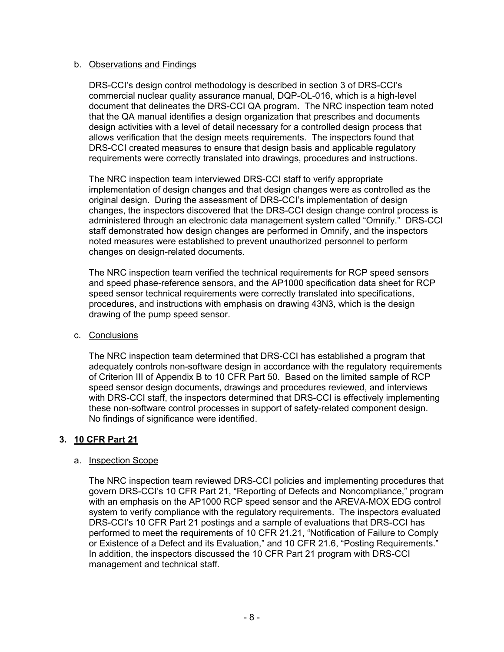### b. Observations and Findings

DRS-CCI's design control methodology is described in section 3 of DRS-CCI's commercial nuclear quality assurance manual, DQP-OL-016, which is a high-level document that delineates the DRS-CCI QA program. The NRC inspection team noted that the QA manual identifies a design organization that prescribes and documents design activities with a level of detail necessary for a controlled design process that allows verification that the design meets requirements. The inspectors found that DRS-CCI created measures to ensure that design basis and applicable regulatory requirements were correctly translated into drawings, procedures and instructions.

The NRC inspection team interviewed DRS-CCI staff to verify appropriate implementation of design changes and that design changes were as controlled as the original design. During the assessment of DRS-CCI's implementation of design changes, the inspectors discovered that the DRS-CCI design change control process is administered through an electronic data management system called "Omnify." DRS-CCI staff demonstrated how design changes are performed in Omnify, and the inspectors noted measures were established to prevent unauthorized personnel to perform changes on design-related documents.

The NRC inspection team verified the technical requirements for RCP speed sensors and speed phase-reference sensors, and the AP1000 specification data sheet for RCP speed sensor technical requirements were correctly translated into specifications, procedures, and instructions with emphasis on drawing 43N3, which is the design drawing of the pump speed sensor.

## c. Conclusions

The NRC inspection team determined that DRS-CCI has established a program that adequately controls non-software design in accordance with the regulatory requirements of Criterion III of Appendix B to 10 CFR Part 50. Based on the limited sample of RCP speed sensor design documents, drawings and procedures reviewed, and interviews with DRS-CCI staff, the inspectors determined that DRS-CCI is effectively implementing these non-software control processes in support of safety-related component design. No findings of significance were identified.

## **3. 10 CFR Part 21**

## a. Inspection Scope

The NRC inspection team reviewed DRS-CCI policies and implementing procedures that govern DRS-CCI's 10 CFR Part 21, "Reporting of Defects and Noncompliance," program with an emphasis on the AP1000 RCP speed sensor and the AREVA-MOX EDG control system to verify compliance with the regulatory requirements. The inspectors evaluated DRS-CCI's 10 CFR Part 21 postings and a sample of evaluations that DRS-CCI has performed to meet the requirements of 10 CFR 21.21, "Notification of Failure to Comply or Existence of a Defect and its Evaluation," and 10 CFR 21.6, "Posting Requirements." In addition, the inspectors discussed the 10 CFR Part 21 program with DRS-CCI management and technical staff.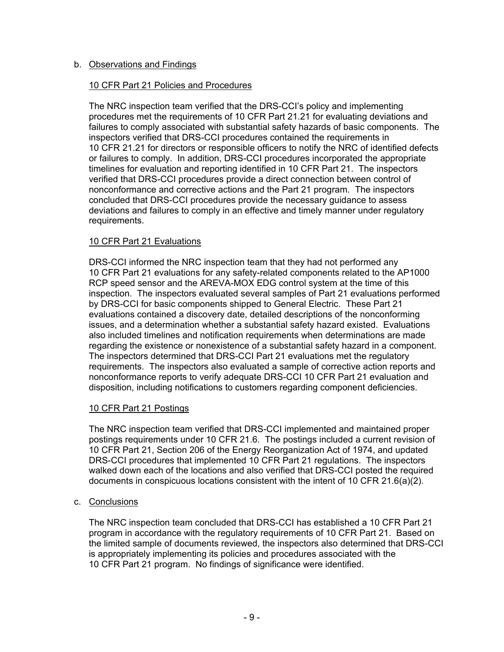## b. Observations and Findings

## 10 CFR Part 21 Policies and Procedures

The NRC inspection team verified that the DRS-CCI's policy and implementing procedures met the requirements of 10 CFR Part 21.21 for evaluating deviations and failures to comply associated with substantial safety hazards of basic components. The inspectors verified that DRS-CCI procedures contained the requirements in 10 CFR 21.21 for directors or responsible officers to notify the NRC of identified defects or failures to comply. In addition, DRS-CCI procedures incorporated the appropriate timelines for evaluation and reporting identified in 10 CFR Part 21. The inspectors verified that DRS-CCI procedures provide a direct connection between control of nonconformance and corrective actions and the Part 21 program. The inspectors concluded that DRS-CCI procedures provide the necessary guidance to assess deviations and failures to comply in an effective and timely manner under regulatory requirements.

## 10 CFR Part 21 Evaluations

DRS-CCI informed the NRC inspection team that they had not performed any 10 CFR Part 21 evaluations for any safety-related components related to the AP1000 RCP speed sensor and the AREVA-MOX EDG control system at the time of this inspection. The inspectors evaluated several samples of Part 21 evaluations performed by DRS-CCI for basic components shipped to General Electric. These Part 21 evaluations contained a discovery date, detailed descriptions of the nonconforming issues, and a determination whether a substantial safety hazard existed. Evaluations also included timelines and notification requirements when determinations are made regarding the existence or nonexistence of a substantial safety hazard in a component. The inspectors determined that DRS-CCI Part 21 evaluations met the regulatory requirements. The inspectors also evaluated a sample of corrective action reports and nonconformance reports to verify adequate DRS-CCI 10 CFR Part 21 evaluation and disposition, including notifications to customers regarding component deficiencies.

## 10 CFR Part 21 Postings

The NRC inspection team verified that DRS-CCI implemented and maintained proper postings requirements under 10 CFR 21.6. The postings included a current revision of 10 CFR Part 21, Section 206 of the Energy Reorganization Act of 1974, and updated DRS-CCI procedures that implemented 10 CFR Part 21 regulations. The inspectors walked down each of the locations and also verified that DRS-CCI posted the required documents in conspicuous locations consistent with the intent of 10 CFR 21.6(a)(2).

## c. Conclusions

The NRC inspection team concluded that DRS-CCI has established a 10 CFR Part 21 program in accordance with the regulatory requirements of 10 CFR Part 21. Based on the limited sample of documents reviewed, the inspectors also determined that DRS-CCI is appropriately implementing its policies and procedures associated with the 10 CFR Part 21 program. No findings of significance were identified.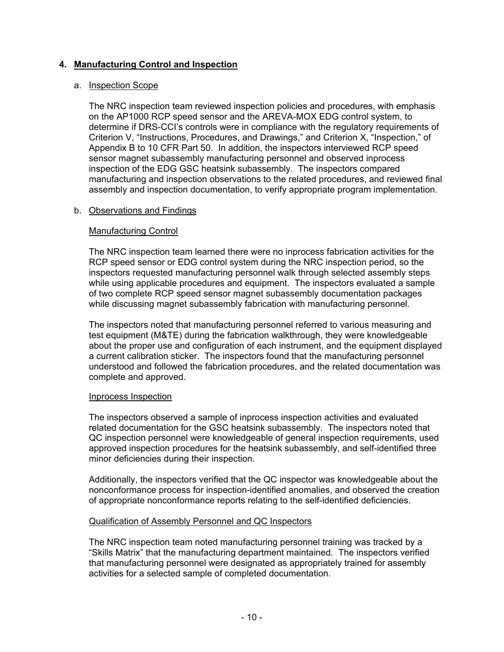## **4. Manufacturing Control and Inspection**

### a. Inspection Scope

The NRC inspection team reviewed inspection policies and procedures, with emphasis on the AP1000 RCP speed sensor and the AREVA-MOX EDG control system, to determine if DRS-CCI's controls were in compliance with the regulatory requirements of Criterion V, "Instructions, Procedures, and Drawings," and Criterion X, "Inspection," of Appendix B to 10 CFR Part 50. In addition, the inspectors interviewed RCP speed sensor magnet subassembly manufacturing personnel and observed inprocess inspection of the EDG GSC heatsink subassembly. The inspectors compared manufacturing and inspection observations to the related procedures, and reviewed final assembly and inspection documentation, to verify appropriate program implementation.

## b. Observations and Findings

### Manufacturing Control

The NRC inspection team learned there were no inprocess fabrication activities for the RCP speed sensor or EDG control system during the NRC inspection period, so the inspectors requested manufacturing personnel walk through selected assembly steps while using applicable procedures and equipment. The inspectors evaluated a sample of two complete RCP speed sensor magnet subassembly documentation packages while discussing magnet subassembly fabrication with manufacturing personnel.

The inspectors noted that manufacturing personnel referred to various measuring and test equipment (M&TE) during the fabrication walkthrough, they were knowledgeable about the proper use and configuration of each instrument, and the equipment displayed a current calibration sticker. The inspectors found that the manufacturing personnel understood and followed the fabrication procedures, and the related documentation was complete and approved.

### Inprocess Inspection

The inspectors observed a sample of inprocess inspection activities and evaluated related documentation for the GSC heatsink subassembly. The inspectors noted that QC inspection personnel were knowledgeable of general inspection requirements, used approved inspection procedures for the heatsink subassembly, and self-identified three minor deficiencies during their inspection.

Additionally, the inspectors verified that the QC inspector was knowledgeable about the nonconformance process for inspection-identified anomalies, and observed the creation of appropriate nonconformance reports relating to the self-identified deficiencies.

### Qualification of Assembly Personnel and QC Inspectors

The NRC inspection team noted manufacturing personnel training was tracked by a "Skills Matrix" that the manufacturing department maintained. The inspectors verified that manufacturing personnel were designated as appropriately trained for assembly activities for a selected sample of completed documentation.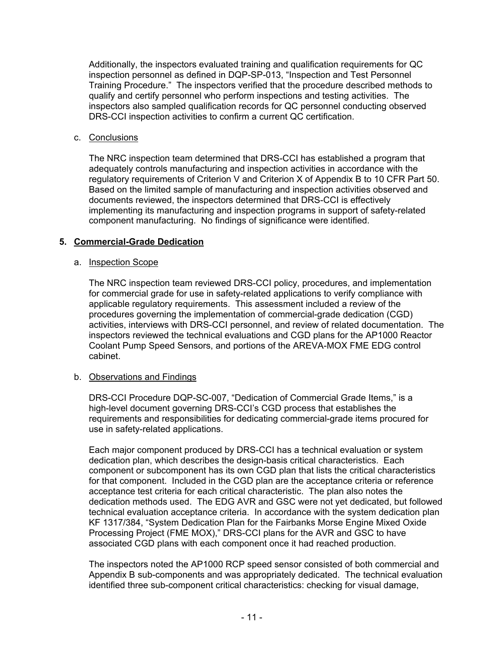Additionally, the inspectors evaluated training and qualification requirements for QC inspection personnel as defined in DQP-SP-013, "Inspection and Test Personnel Training Procedure." The inspectors verified that the procedure described methods to qualify and certify personnel who perform inspections and testing activities. The inspectors also sampled qualification records for QC personnel conducting observed DRS-CCI inspection activities to confirm a current QC certification.

## c. Conclusions

The NRC inspection team determined that DRS-CCI has established a program that adequately controls manufacturing and inspection activities in accordance with the regulatory requirements of Criterion V and Criterion X of Appendix B to 10 CFR Part 50. Based on the limited sample of manufacturing and inspection activities observed and documents reviewed, the inspectors determined that DRS-CCI is effectively implementing its manufacturing and inspection programs in support of safety-related component manufacturing. No findings of significance were identified.

## **5. Commercial-Grade Dedication**

## a. Inspection Scope

The NRC inspection team reviewed DRS-CCI policy, procedures, and implementation for commercial grade for use in safety-related applications to verify compliance with applicable regulatory requirements. This assessment included a review of the procedures governing the implementation of commercial-grade dedication (CGD) activities, interviews with DRS-CCI personnel, and review of related documentation. The inspectors reviewed the technical evaluations and CGD plans for the AP1000 Reactor Coolant Pump Speed Sensors, and portions of the AREVA-MOX FME EDG control cabinet.

## b. Observations and Findings

DRS-CCI Procedure DQP-SC-007, "Dedication of Commercial Grade Items," is a high-level document governing DRS-CCI's CGD process that establishes the requirements and responsibilities for dedicating commercial-grade items procured for use in safety-related applications.

Each major component produced by DRS-CCI has a technical evaluation or system dedication plan, which describes the design-basis critical characteristics. Each component or subcomponent has its own CGD plan that lists the critical characteristics for that component. Included in the CGD plan are the acceptance criteria or reference acceptance test criteria for each critical characteristic. The plan also notes the dedication methods used. The EDG AVR and GSC were not yet dedicated, but followed technical evaluation acceptance criteria. In accordance with the system dedication plan KF 1317/384, "System Dedication Plan for the Fairbanks Morse Engine Mixed Oxide Processing Project (FME MOX)," DRS-CCI plans for the AVR and GSC to have associated CGD plans with each component once it had reached production.

The inspectors noted the AP1000 RCP speed sensor consisted of both commercial and Appendix B sub-components and was appropriately dedicated. The technical evaluation identified three sub-component critical characteristics: checking for visual damage,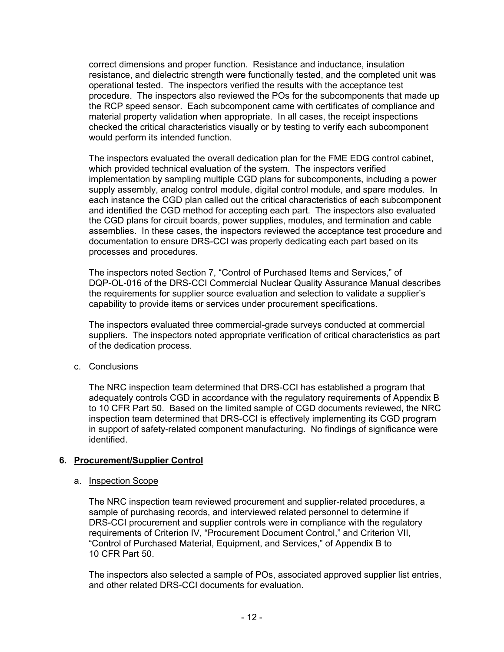correct dimensions and proper function. Resistance and inductance, insulation resistance, and dielectric strength were functionally tested, and the completed unit was operational tested. The inspectors verified the results with the acceptance test procedure. The inspectors also reviewed the POs for the subcomponents that made up the RCP speed sensor. Each subcomponent came with certificates of compliance and material property validation when appropriate. In all cases, the receipt inspections checked the critical characteristics visually or by testing to verify each subcomponent would perform its intended function.

The inspectors evaluated the overall dedication plan for the FME EDG control cabinet, which provided technical evaluation of the system. The inspectors verified implementation by sampling multiple CGD plans for subcomponents, including a power supply assembly, analog control module, digital control module, and spare modules. In each instance the CGD plan called out the critical characteristics of each subcomponent and identified the CGD method for accepting each part. The inspectors also evaluated the CGD plans for circuit boards, power supplies, modules, and termination and cable assemblies. In these cases, the inspectors reviewed the acceptance test procedure and documentation to ensure DRS-CCI was properly dedicating each part based on its processes and procedures.

The inspectors noted Section 7, "Control of Purchased Items and Services," of DQP-OL-016 of the DRS-CCI Commercial Nuclear Quality Assurance Manual describes the requirements for supplier source evaluation and selection to validate a supplier's capability to provide items or services under procurement specifications.

The inspectors evaluated three commercial-grade surveys conducted at commercial suppliers. The inspectors noted appropriate verification of critical characteristics as part of the dedication process.

c. Conclusions

The NRC inspection team determined that DRS-CCI has established a program that adequately controls CGD in accordance with the regulatory requirements of Appendix B to 10 CFR Part 50. Based on the limited sample of CGD documents reviewed, the NRC inspection team determined that DRS-CCI is effectively implementing its CGD program in support of safety-related component manufacturing. No findings of significance were identified.

# **6. Procurement/Supplier Control**

## a. Inspection Scope

The NRC inspection team reviewed procurement and supplier-related procedures, a sample of purchasing records, and interviewed related personnel to determine if DRS-CCI procurement and supplier controls were in compliance with the regulatory requirements of Criterion IV, "Procurement Document Control," and Criterion VII, "Control of Purchased Material, Equipment, and Services," of Appendix B to 10 CFR Part 50.

The inspectors also selected a sample of POs, associated approved supplier list entries, and other related DRS-CCI documents for evaluation.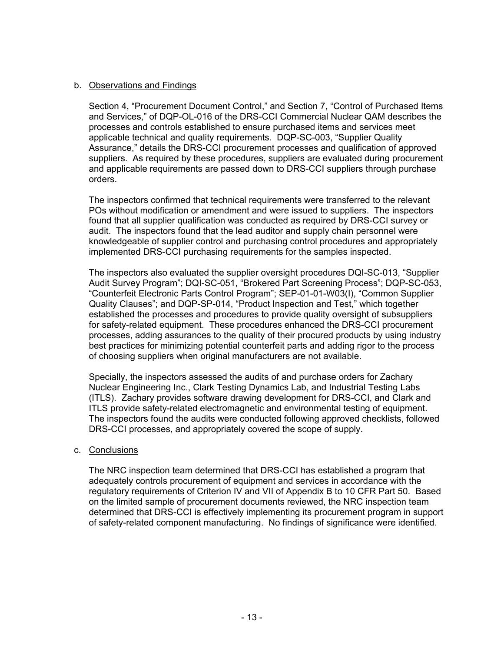## b. Observations and Findings

Section 4, "Procurement Document Control," and Section 7, "Control of Purchased Items and Services," of DQP-OL-016 of the DRS-CCI Commercial Nuclear QAM describes the processes and controls established to ensure purchased items and services meet applicable technical and quality requirements. DQP-SC-003, "Supplier Quality Assurance," details the DRS-CCI procurement processes and qualification of approved suppliers. As required by these procedures, suppliers are evaluated during procurement and applicable requirements are passed down to DRS-CCI suppliers through purchase orders.

The inspectors confirmed that technical requirements were transferred to the relevant POs without modification or amendment and were issued to suppliers. The inspectors found that all supplier qualification was conducted as required by DRS-CCI survey or audit. The inspectors found that the lead auditor and supply chain personnel were knowledgeable of supplier control and purchasing control procedures and appropriately implemented DRS-CCI purchasing requirements for the samples inspected.

The inspectors also evaluated the supplier oversight procedures DQI-SC-013, "Supplier Audit Survey Program"; DQI-SC-051, "Brokered Part Screening Process"; DQP-SC-053, "Counterfeit Electronic Parts Control Program"; SEP-01-01-W03(I), "Common Supplier Quality Clauses"; and DQP-SP-014, "Product Inspection and Test," which together established the processes and procedures to provide quality oversight of subsuppliers for safety-related equipment. These procedures enhanced the DRS-CCI procurement processes, adding assurances to the quality of their procured products by using industry best practices for minimizing potential counterfeit parts and adding rigor to the process of choosing suppliers when original manufacturers are not available.

Specially, the inspectors assessed the audits of and purchase orders for Zachary Nuclear Engineering Inc., Clark Testing Dynamics Lab, and Industrial Testing Labs (ITLS). Zachary provides software drawing development for DRS-CCI, and Clark and ITLS provide safety-related electromagnetic and environmental testing of equipment. The inspectors found the audits were conducted following approved checklists, followed DRS-CCI processes, and appropriately covered the scope of supply.

## c. Conclusions

The NRC inspection team determined that DRS-CCI has established a program that adequately controls procurement of equipment and services in accordance with the regulatory requirements of Criterion IV and VII of Appendix B to 10 CFR Part 50. Based on the limited sample of procurement documents reviewed, the NRC inspection team determined that DRS-CCI is effectively implementing its procurement program in support of safety-related component manufacturing. No findings of significance were identified.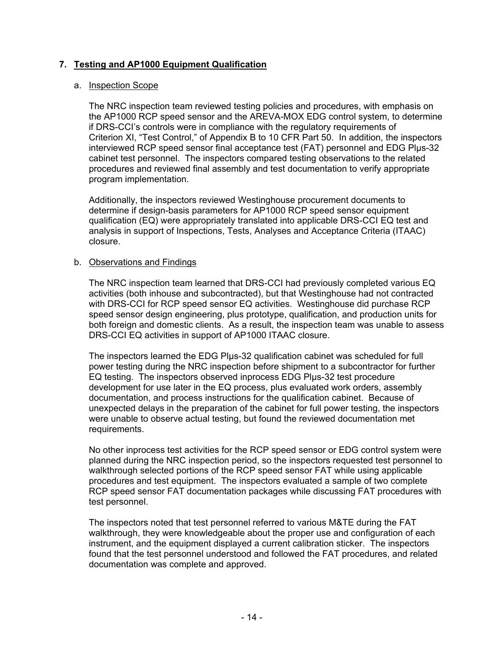# **7. Testing and AP1000 Equipment Qualification**

### a. Inspection Scope

The NRC inspection team reviewed testing policies and procedures, with emphasis on the AP1000 RCP speed sensor and the AREVA-MOX EDG control system, to determine if DRS-CCI's controls were in compliance with the regulatory requirements of Criterion XI, "Test Control," of Appendix B to 10 CFR Part 50. In addition, the inspectors interviewed RCP speed sensor final acceptance test (FAT) personnel and EDG Plµs-32 cabinet test personnel. The inspectors compared testing observations to the related procedures and reviewed final assembly and test documentation to verify appropriate program implementation.

Additionally, the inspectors reviewed Westinghouse procurement documents to determine if design-basis parameters for AP1000 RCP speed sensor equipment qualification (EQ) were appropriately translated into applicable DRS-CCI EQ test and analysis in support of Inspections, Tests, Analyses and Acceptance Criteria (ITAAC) closure.

### b. Observations and Findings

The NRC inspection team learned that DRS-CCI had previously completed various EQ activities (both inhouse and subcontracted), but that Westinghouse had not contracted with DRS-CCI for RCP speed sensor EQ activities. Westinghouse did purchase RCP speed sensor design engineering, plus prototype, qualification, and production units for both foreign and domestic clients. As a result, the inspection team was unable to assess DRS-CCI EQ activities in support of AP1000 ITAAC closure.

The inspectors learned the EDG Plµs-32 qualification cabinet was scheduled for full power testing during the NRC inspection before shipment to a subcontractor for further EQ testing. The inspectors observed inprocess EDG Plµs-32 test procedure development for use later in the EQ process, plus evaluated work orders, assembly documentation, and process instructions for the qualification cabinet. Because of unexpected delays in the preparation of the cabinet for full power testing, the inspectors were unable to observe actual testing, but found the reviewed documentation met requirements.

No other inprocess test activities for the RCP speed sensor or EDG control system were planned during the NRC inspection period, so the inspectors requested test personnel to walkthrough selected portions of the RCP speed sensor FAT while using applicable procedures and test equipment. The inspectors evaluated a sample of two complete RCP speed sensor FAT documentation packages while discussing FAT procedures with test personnel.

The inspectors noted that test personnel referred to various M&TE during the FAT walkthrough, they were knowledgeable about the proper use and configuration of each instrument, and the equipment displayed a current calibration sticker. The inspectors found that the test personnel understood and followed the FAT procedures, and related documentation was complete and approved.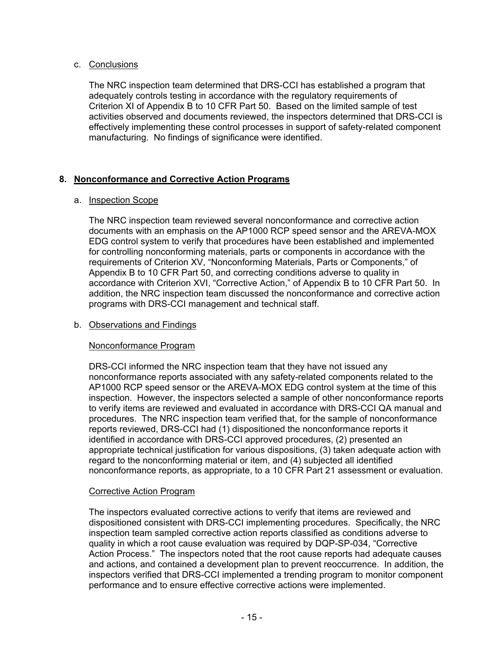## c. Conclusions

The NRC inspection team determined that DRS-CCI has established a program that adequately controls testing in accordance with the regulatory requirements of Criterion XI of Appendix B to 10 CFR Part 50. Based on the limited sample of test activities observed and documents reviewed, the inspectors determined that DRS-CCI is effectively implementing these control processes in support of safety-related component manufacturing. No findings of significance were identified.

# **8. Nonconformance and Corrective Action Programs**

# a. Inspection Scope

The NRC inspection team reviewed several nonconformance and corrective action documents with an emphasis on the AP1000 RCP speed sensor and the AREVA-MOX EDG control system to verify that procedures have been established and implemented for controlling nonconforming materials, parts or components in accordance with the requirements of Criterion XV, "Nonconforming Materials, Parts or Components," of Appendix B to 10 CFR Part 50, and correcting conditions adverse to quality in accordance with Criterion XVI, "Corrective Action," of Appendix B to 10 CFR Part 50. In addition, the NRC inspection team discussed the nonconformance and corrective action programs with DRS-CCI management and technical staff.

# b. Observations and Findings

# Nonconformance Program

DRS-CCI informed the NRC inspection team that they have not issued any nonconformance reports associated with any safety-related components related to the AP1000 RCP speed sensor or the AREVA-MOX EDG control system at the time of this inspection. However, the inspectors selected a sample of other nonconformance reports to verify items are reviewed and evaluated in accordance with DRS-CCI QA manual and procedures. The NRC inspection team verified that, for the sample of nonconformance reports reviewed, DRS-CCI had (1) dispositioned the nonconformance reports it identified in accordance with DRS-CCI approved procedures, (2) presented an appropriate technical justification for various dispositions, (3) taken adequate action with regard to the nonconforming material or item, and (4) subjected all identified nonconformance reports, as appropriate, to a 10 CFR Part 21 assessment or evaluation.

# Corrective Action Program

The inspectors evaluated corrective actions to verify that items are reviewed and dispositioned consistent with DRS-CCI implementing procedures. Specifically, the NRC inspection team sampled corrective action reports classified as conditions adverse to quality in which a root cause evaluation was required by DQP-SP-034, "Corrective Action Process." The inspectors noted that the root cause reports had adequate causes and actions, and contained a development plan to prevent reoccurrence. In addition, the inspectors verified that DRS-CCI implemented a trending program to monitor component performance and to ensure effective corrective actions were implemented.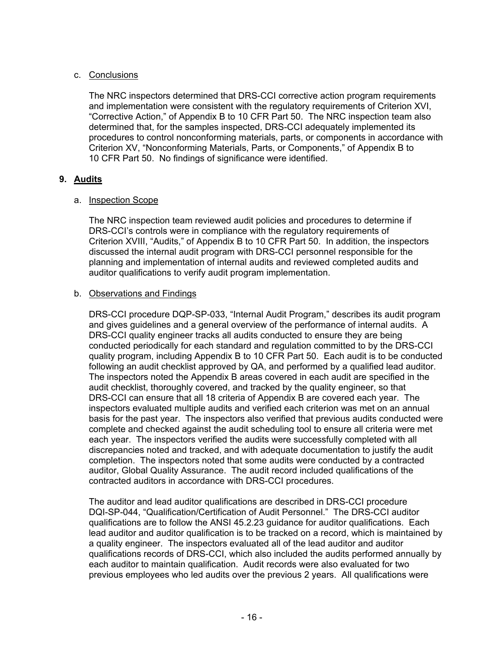# c. Conclusions

The NRC inspectors determined that DRS-CCI corrective action program requirements and implementation were consistent with the regulatory requirements of Criterion XVI, "Corrective Action," of Appendix B to 10 CFR Part 50. The NRC inspection team also determined that, for the samples inspected, DRS-CCI adequately implemented its procedures to control nonconforming materials, parts, or components in accordance with Criterion XV, "Nonconforming Materials, Parts, or Components," of Appendix B to 10 CFR Part 50. No findings of significance were identified.

## **9. Audits**

## a. Inspection Scope

The NRC inspection team reviewed audit policies and procedures to determine if DRS-CCI's controls were in compliance with the regulatory requirements of Criterion XVIII, "Audits," of Appendix B to 10 CFR Part 50. In addition, the inspectors discussed the internal audit program with DRS-CCI personnel responsible for the planning and implementation of internal audits and reviewed completed audits and auditor qualifications to verify audit program implementation.

## b. Observations and Findings

DRS-CCI procedure DQP-SP-033, "Internal Audit Program," describes its audit program and gives guidelines and a general overview of the performance of internal audits. A DRS-CCI quality engineer tracks all audits conducted to ensure they are being conducted periodically for each standard and regulation committed to by the DRS-CCI quality program, including Appendix B to 10 CFR Part 50. Each audit is to be conducted following an audit checklist approved by QA, and performed by a qualified lead auditor. The inspectors noted the Appendix B areas covered in each audit are specified in the audit checklist, thoroughly covered, and tracked by the quality engineer, so that DRS-CCI can ensure that all 18 criteria of Appendix B are covered each year. The inspectors evaluated multiple audits and verified each criterion was met on an annual basis for the past year. The inspectors also verified that previous audits conducted were complete and checked against the audit scheduling tool to ensure all criteria were met each year. The inspectors verified the audits were successfully completed with all discrepancies noted and tracked, and with adequate documentation to justify the audit completion. The inspectors noted that some audits were conducted by a contracted auditor, Global Quality Assurance. The audit record included qualifications of the contracted auditors in accordance with DRS-CCI procedures.

The auditor and lead auditor qualifications are described in DRS-CCI procedure DQI-SP-044, "Qualification/Certification of Audit Personnel." The DRS-CCI auditor qualifications are to follow the ANSI 45.2.23 guidance for auditor qualifications. Each lead auditor and auditor qualification is to be tracked on a record, which is maintained by a quality engineer. The inspectors evaluated all of the lead auditor and auditor qualifications records of DRS-CCI, which also included the audits performed annually by each auditor to maintain qualification. Audit records were also evaluated for two previous employees who led audits over the previous 2 years. All qualifications were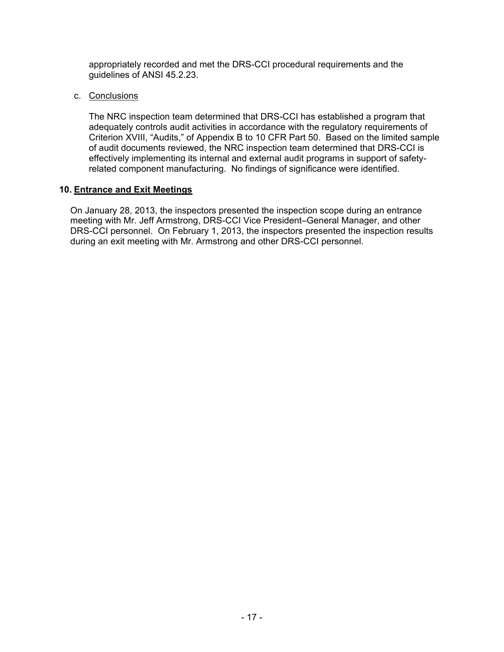appropriately recorded and met the DRS-CCI procedural requirements and the guidelines of ANSI 45.2.23.

c. Conclusions

The NRC inspection team determined that DRS-CCI has established a program that adequately controls audit activities in accordance with the regulatory requirements of Criterion XVIII, "Audits," of Appendix B to 10 CFR Part 50. Based on the limited sample of audit documents reviewed, the NRC inspection team determined that DRS-CCI is effectively implementing its internal and external audit programs in support of safetyrelated component manufacturing. No findings of significance were identified.

## **10. Entrance and Exit Meetings**

On January 28, 2013, the inspectors presented the inspection scope during an entrance meeting with Mr. Jeff Armstrong, DRS-CCI Vice President–General Manager, and other DRS-CCI personnel. On February 1, 2013, the inspectors presented the inspection results during an exit meeting with Mr. Armstrong and other DRS-CCI personnel.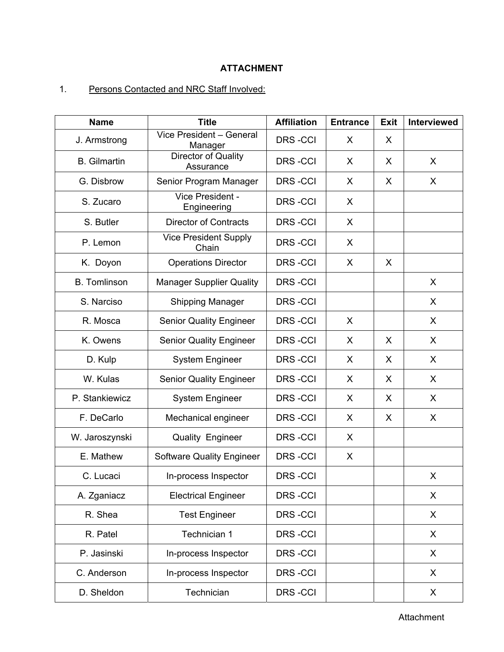## **ATTACHMENT**

# 1. Persons Contacted and NRC Staff Involved:

| <b>Name</b>         | <b>Title</b>                          | <b>Affiliation</b> | <b>Entrance</b> | <b>Exit</b> | <b>Interviewed</b> |
|---------------------|---------------------------------------|--------------------|-----------------|-------------|--------------------|
| J. Armstrong        | Vice President - General<br>Manager   | <b>DRS-CCI</b>     | X               | X           |                    |
| <b>B.</b> Gilmartin | Director of Quality<br>Assurance      | <b>DRS-CCI</b>     | X               | X           | X                  |
| G. Disbrow          | Senior Program Manager                | <b>DRS-CCI</b>     | X               | X           | X                  |
| S. Zucaro           | Vice President -<br>Engineering       | <b>DRS-CCI</b>     | X               |             |                    |
| S. Butler           | <b>Director of Contracts</b>          | <b>DRS-CCI</b>     | X               |             |                    |
| P. Lemon            | <b>Vice President Supply</b><br>Chain | <b>DRS-CCI</b>     | X               |             |                    |
| K. Doyon            | <b>Operations Director</b>            | <b>DRS-CCI</b>     | X               | X           |                    |
| <b>B.</b> Tomlinson | <b>Manager Supplier Quality</b>       | <b>DRS-CCI</b>     |                 |             | X                  |
| S. Narciso          | Shipping Manager                      | <b>DRS-CCI</b>     |                 |             | $\mathsf{X}$       |
| R. Mosca            | <b>Senior Quality Engineer</b>        | <b>DRS-CCI</b>     | X               |             | X                  |
| K. Owens            | <b>Senior Quality Engineer</b>        | <b>DRS-CCI</b>     | X               | X           | X                  |
| D. Kulp             | <b>System Engineer</b>                | <b>DRS-CCI</b>     | X               | X           | $\sf X$            |
| W. Kulas            | <b>Senior Quality Engineer</b>        | DRS-CCI            | X               | X           | X                  |
| P. Stankiewicz      | <b>System Engineer</b>                | <b>DRS-CCI</b>     | X               | X           | X                  |
| F. DeCarlo          | Mechanical engineer                   | DRS-CCI            | X               | X           | X                  |
| W. Jaroszynski      | Quality Engineer                      | <b>DRS-CCI</b>     | X               |             |                    |
| E. Mathew           | <b>Software Quality Engineer</b>      | DRS-CCI            | X               |             |                    |
| C. Lucaci           | In-process Inspector                  | <b>DRS-CCI</b>     |                 |             | X                  |
| A. Zganiacz         | <b>Electrical Engineer</b>            | DRS-CCI            |                 |             | X                  |
| R. Shea             | <b>Test Engineer</b>                  | <b>DRS-CCI</b>     |                 |             | X                  |
| R. Patel            | Technician 1                          | DRS-CCI            |                 |             | X.                 |
| P. Jasinski         | In-process Inspector                  | <b>DRS-CCI</b>     |                 |             | X                  |
| C. Anderson         | In-process Inspector                  | <b>DRS-CCI</b>     |                 |             | X                  |
| D. Sheldon          | Technician                            | DRS-CCI            |                 |             | X                  |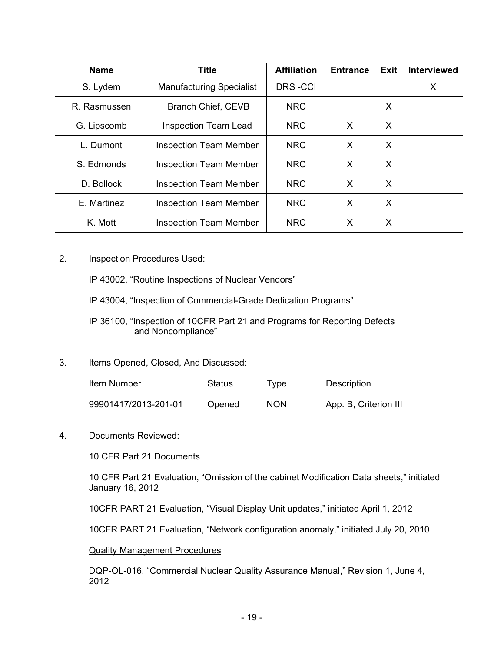| <b>Name</b>  | <b>Title</b>                    | <b>Affiliation</b> | <b>Entrance</b> | Exit | Interviewed |
|--------------|---------------------------------|--------------------|-----------------|------|-------------|
| S. Lydem     | <b>Manufacturing Specialist</b> | <b>DRS-CCI</b>     |                 |      | X           |
| R. Rasmussen | <b>Branch Chief, CEVB</b>       | <b>NRC</b>         |                 | X    |             |
| G. Lipscomb  | <b>Inspection Team Lead</b>     | <b>NRC</b>         | X               | X    |             |
| L. Dumont    | <b>Inspection Team Member</b>   | <b>NRC</b>         | X               | X    |             |
| S. Edmonds   | <b>Inspection Team Member</b>   | <b>NRC</b>         | X               | X    |             |
| D. Bollock   | <b>Inspection Team Member</b>   | <b>NRC</b>         | X               | X    |             |
| E. Martinez  | <b>Inspection Team Member</b>   | <b>NRC</b>         | X               | X    |             |
| K. Mott      | <b>Inspection Team Member</b>   | <b>NRC</b>         | X               | X    |             |

## 2. **Inspection Procedures Used:**

IP 43002, "Routine Inspections of Nuclear Vendors"

IP 43004, "Inspection of Commercial-Grade Dedication Programs"

IP 36100, "Inspection of 10CFR Part 21 and Programs for Reporting Defects and Noncompliance"

### 3. Items Opened, Closed, And Discussed:

| Item Number          | Status | <u>l ype</u> | <b>Description</b>    |
|----------------------|--------|--------------|-----------------------|
| 99901417/2013-201-01 | Opened | <b>NON</b>   | App. B, Criterion III |

### 4. Documents Reviewed:

### 10 CFR Part 21 Documents

10 CFR Part 21 Evaluation, "Omission of the cabinet Modification Data sheets," initiated January 16, 2012

10CFR PART 21 Evaluation, "Visual Display Unit updates," initiated April 1, 2012

10CFR PART 21 Evaluation, "Network configuration anomaly," initiated July 20, 2010

### Quality Management Procedures

DQP-OL-016, "Commercial Nuclear Quality Assurance Manual," Revision 1, June 4, 2012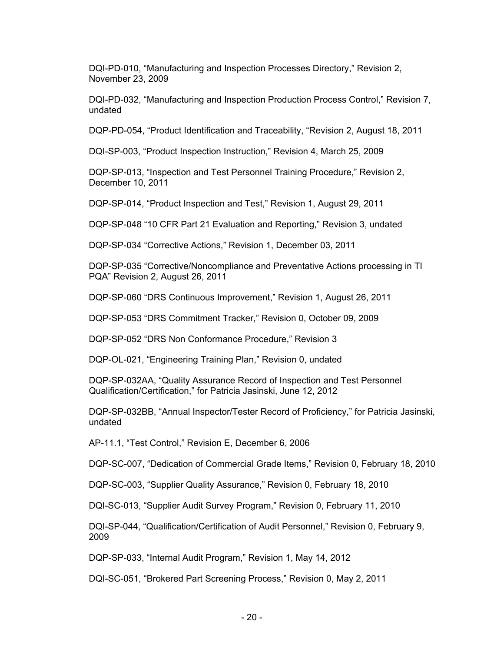DQI-PD-010, "Manufacturing and Inspection Processes Directory," Revision 2, November 23, 2009

DQI-PD-032, "Manufacturing and Inspection Production Process Control," Revision 7, undated

DQP-PD-054, "Product Identification and Traceability, "Revision 2, August 18, 2011

DQI-SP-003, "Product Inspection Instruction," Revision 4, March 25, 2009

DQP-SP-013, "Inspection and Test Personnel Training Procedure," Revision 2, December 10, 2011

DQP-SP-014, "Product Inspection and Test," Revision 1, August 29, 2011

DQP-SP-048 "10 CFR Part 21 Evaluation and Reporting," Revision 3, undated

DQP-SP-034 "Corrective Actions," Revision 1, December 03, 2011

DQP-SP-035 "Corrective/Noncompliance and Preventative Actions processing in TI PQA" Revision 2, August 26, 2011

DQP-SP-060 "DRS Continuous Improvement," Revision 1, August 26, 2011

DQP-SP-053 "DRS Commitment Tracker," Revision 0, October 09, 2009

DQP-SP-052 "DRS Non Conformance Procedure," Revision 3

DQP-OL-021, "Engineering Training Plan," Revision 0, undated

DQP-SP-032AA, "Quality Assurance Record of Inspection and Test Personnel Qualification/Certification," for Patricia Jasinski, June 12, 2012

DQP-SP-032BB, "Annual Inspector/Tester Record of Proficiency," for Patricia Jasinski, undated

AP-11.1, "Test Control," Revision E, December 6, 2006

DQP-SC-007, "Dedication of Commercial Grade Items," Revision 0, February 18, 2010

DQP-SC-003, "Supplier Quality Assurance," Revision 0, February 18, 2010

DQI-SC-013, "Supplier Audit Survey Program," Revision 0, February 11, 2010

DQI-SP-044, "Qualification/Certification of Audit Personnel," Revision 0, February 9, 2009

DQP-SP-033, "Internal Audit Program," Revision 1, May 14, 2012

DQI-SC-051, "Brokered Part Screening Process," Revision 0, May 2, 2011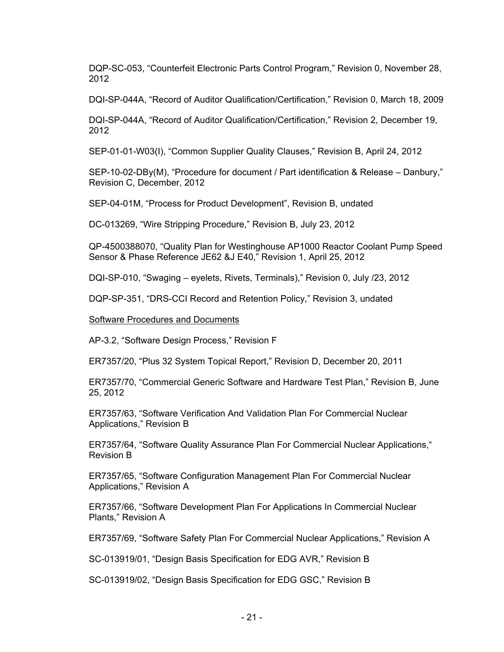DQP-SC-053, "Counterfeit Electronic Parts Control Program," Revision 0, November 28, 2012

DQI-SP-044A, "Record of Auditor Qualification/Certification," Revision 0, March 18, 2009

DQI-SP-044A, "Record of Auditor Qualification/Certification," Revision 2, December 19, 2012

SEP-01-01-W03(I), "Common Supplier Quality Clauses," Revision B, April 24, 2012

SEP-10-02-DBy(M), "Procedure for document / Part identification & Release – Danbury," Revision C, December, 2012

SEP-04-01M, "Process for Product Development", Revision B, undated

DC-013269, "Wire Stripping Procedure," Revision B, July 23, 2012

QP-4500388070, "Quality Plan for Westinghouse AP1000 Reactor Coolant Pump Speed Sensor & Phase Reference JE62 &J E40," Revision 1, April 25, 2012

DQI-SP-010, "Swaging – eyelets, Rivets, Terminals)," Revision 0, July /23, 2012

DQP-SP-351, "DRS-CCI Record and Retention Policy," Revision 3, undated

#### Software Procedures and Documents

AP-3.2, "Software Design Process," Revision F

ER7357/20, "Plus 32 System Topical Report," Revision D, December 20, 2011

ER7357/70, "Commercial Generic Software and Hardware Test Plan," Revision B, June 25, 2012

ER7357/63, "Software Verification And Validation Plan For Commercial Nuclear Applications," Revision B

ER7357/64, "Software Quality Assurance Plan For Commercial Nuclear Applications," Revision B

ER7357/65, "Software Configuration Management Plan For Commercial Nuclear Applications," Revision A

ER7357/66, "Software Development Plan For Applications In Commercial Nuclear Plants," Revision A

ER7357/69, "Software Safety Plan For Commercial Nuclear Applications," Revision A

SC-013919/01, "Design Basis Specification for EDG AVR," Revision B

SC-013919/02, "Design Basis Specification for EDG GSC," Revision B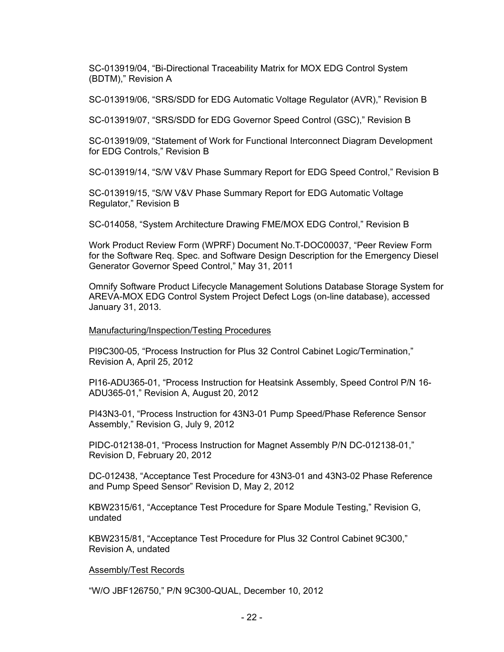SC-013919/04, "Bi-Directional Traceability Matrix for MOX EDG Control System (BDTM)," Revision A

SC-013919/06, "SRS/SDD for EDG Automatic Voltage Regulator (AVR)," Revision B

SC-013919/07, "SRS/SDD for EDG Governor Speed Control (GSC)," Revision B

SC-013919/09, "Statement of Work for Functional Interconnect Diagram Development for EDG Controls," Revision B

SC-013919/14, "S/W V&V Phase Summary Report for EDG Speed Control," Revision B

SC-013919/15, "S/W V&V Phase Summary Report for EDG Automatic Voltage Regulator," Revision B

SC-014058, "System Architecture Drawing FME/MOX EDG Control," Revision B

Work Product Review Form (WPRF) Document No.T-DOC00037, "Peer Review Form for the Software Req. Spec. and Software Design Description for the Emergency Diesel Generator Governor Speed Control," May 31, 2011

Omnify Software Product Lifecycle Management Solutions Database Storage System for AREVA-MOX EDG Control System Project Defect Logs (on-line database), accessed January 31, 2013.

#### Manufacturing/Inspection/Testing Procedures

PI9C300-05, "Process Instruction for Plus 32 Control Cabinet Logic/Termination," Revision A, April 25, 2012

PI16-ADU365-01, "Process Instruction for Heatsink Assembly, Speed Control P/N 16- ADU365-01," Revision A, August 20, 2012

PI43N3-01, "Process Instruction for 43N3-01 Pump Speed/Phase Reference Sensor Assembly," Revision G, July 9, 2012

PIDC-012138-01, "Process Instruction for Magnet Assembly P/N DC-012138-01," Revision D, February 20, 2012

DC-012438, "Acceptance Test Procedure for 43N3-01 and 43N3-02 Phase Reference and Pump Speed Sensor" Revision D, May 2, 2012

KBW2315/61, "Acceptance Test Procedure for Spare Module Testing," Revision G, undated

KBW2315/81, "Acceptance Test Procedure for Plus 32 Control Cabinet 9C300," Revision A, undated

#### Assembly/Test Records

"W/O JBF126750," P/N 9C300-QUAL, December 10, 2012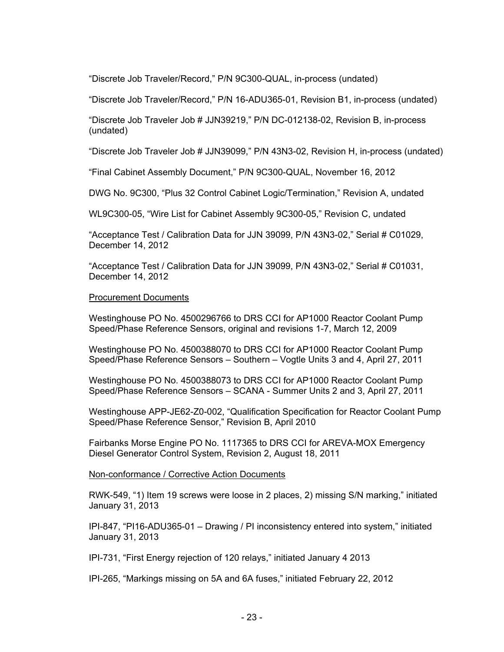"Discrete Job Traveler/Record," P/N 9C300-QUAL, in-process (undated)

"Discrete Job Traveler/Record," P/N 16-ADU365-01, Revision B1, in-process (undated)

"Discrete Job Traveler Job # JJN39219," P/N DC-012138-02, Revision B, in-process (undated)

"Discrete Job Traveler Job # JJN39099," P/N 43N3-02, Revision H, in-process (undated)

"Final Cabinet Assembly Document," P/N 9C300-QUAL, November 16, 2012

DWG No. 9C300, "Plus 32 Control Cabinet Logic/Termination," Revision A, undated

WL9C300-05, "Wire List for Cabinet Assembly 9C300-05," Revision C, undated

"Acceptance Test / Calibration Data for JJN 39099, P/N 43N3-02," Serial # C01029, December 14, 2012

"Acceptance Test / Calibration Data for JJN 39099, P/N 43N3-02," Serial # C01031, December 14, 2012

### Procurement Documents

Westinghouse PO No. 4500296766 to DRS CCI for AP1000 Reactor Coolant Pump Speed/Phase Reference Sensors, original and revisions 1-7, March 12, 2009

Westinghouse PO No. 4500388070 to DRS CCI for AP1000 Reactor Coolant Pump Speed/Phase Reference Sensors – Southern – Vogtle Units 3 and 4, April 27, 2011

Westinghouse PO No. 4500388073 to DRS CCI for AP1000 Reactor Coolant Pump Speed/Phase Reference Sensors – SCANA - Summer Units 2 and 3, April 27, 2011

Westinghouse APP-JE62-Z0-002, "Qualification Specification for Reactor Coolant Pump Speed/Phase Reference Sensor," Revision B, April 2010

Fairbanks Morse Engine PO No. 1117365 to DRS CCI for AREVA-MOX Emergency Diesel Generator Control System, Revision 2, August 18, 2011

Non-conformance / Corrective Action Documents

RWK-549, "1) Item 19 screws were loose in 2 places, 2) missing S/N marking," initiated January 31, 2013

IPI-847, "PI16-ADU365-01 – Drawing / PI inconsistency entered into system," initiated January 31, 2013

IPI-731, "First Energy rejection of 120 relays," initiated January 4 2013

IPI-265, "Markings missing on 5A and 6A fuses," initiated February 22, 2012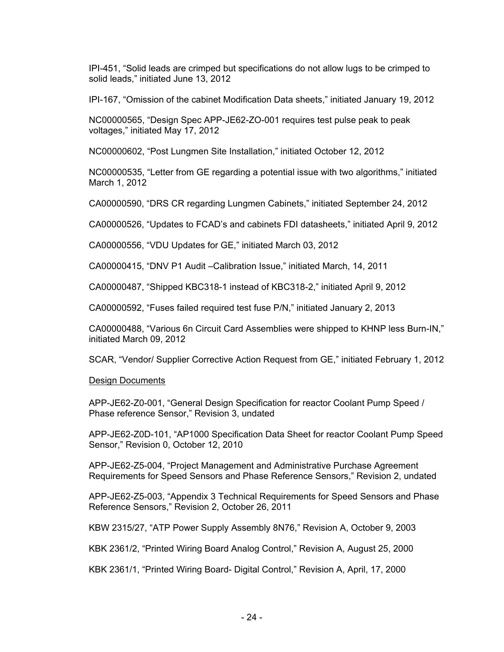IPI-451, "Solid leads are crimped but specifications do not allow lugs to be crimped to solid leads," initiated June 13, 2012

IPI-167, "Omission of the cabinet Modification Data sheets," initiated January 19, 2012

NC00000565, "Design Spec APP-JE62-ZO-001 requires test pulse peak to peak voltages," initiated May 17, 2012

NC00000602, "Post Lungmen Site Installation," initiated October 12, 2012

NC00000535, "Letter from GE regarding a potential issue with two algorithms," initiated March 1, 2012

CA00000590, "DRS CR regarding Lungmen Cabinets," initiated September 24, 2012

CA00000526, "Updates to FCAD's and cabinets FDI datasheets," initiated April 9, 2012

CA00000556, "VDU Updates for GE," initiated March 03, 2012

CA00000415, "DNV P1 Audit –Calibration Issue," initiated March, 14, 2011

CA00000487, "Shipped KBC318-1 instead of KBC318-2," initiated April 9, 2012

CA00000592, "Fuses failed required test fuse P/N," initiated January 2, 2013

CA00000488, "Various 6n Circuit Card Assemblies were shipped to KHNP less Burn-IN," initiated March 09, 2012

SCAR, "Vendor/ Supplier Corrective Action Request from GE," initiated February 1, 2012

### Design Documents

APP-JE62-Z0-001, "General Design Specification for reactor Coolant Pump Speed / Phase reference Sensor," Revision 3, undated

APP-JE62-Z0D-101, "AP1000 Specification Data Sheet for reactor Coolant Pump Speed Sensor," Revision 0, October 12, 2010

APP-JE62-Z5-004, "Project Management and Administrative Purchase Agreement Requirements for Speed Sensors and Phase Reference Sensors," Revision 2, undated

APP-JE62-Z5-003, "Appendix 3 Technical Requirements for Speed Sensors and Phase Reference Sensors," Revision 2, October 26, 2011

KBW 2315/27, "ATP Power Supply Assembly 8N76," Revision A, October 9, 2003

KBK 2361/2, "Printed Wiring Board Analog Control," Revision A, August 25, 2000

KBK 2361/1, "Printed Wiring Board- Digital Control," Revision A, April, 17, 2000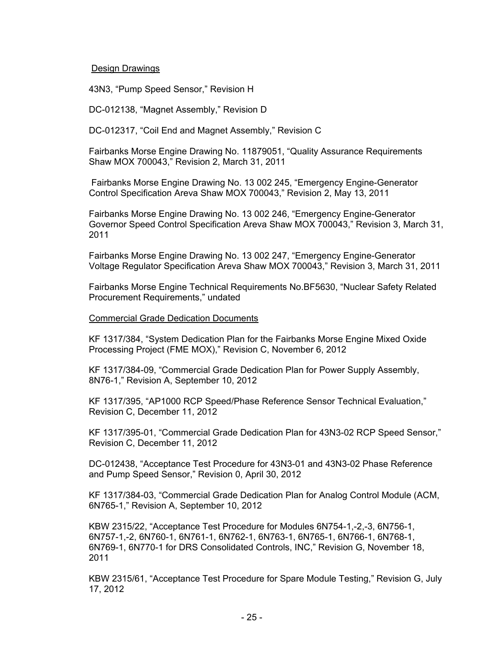### Design Drawings

43N3, "Pump Speed Sensor," Revision H

DC-012138, "Magnet Assembly," Revision D

DC-012317, "Coil End and Magnet Assembly," Revision C

Fairbanks Morse Engine Drawing No. 11879051, "Quality Assurance Requirements Shaw MOX 700043," Revision 2, March 31, 2011

 Fairbanks Morse Engine Drawing No. 13 002 245, "Emergency Engine-Generator Control Specification Areva Shaw MOX 700043," Revision 2, May 13, 2011

Fairbanks Morse Engine Drawing No. 13 002 246, "Emergency Engine-Generator Governor Speed Control Specification Areva Shaw MOX 700043," Revision 3, March 31, 2011

Fairbanks Morse Engine Drawing No. 13 002 247, "Emergency Engine-Generator Voltage Regulator Specification Areva Shaw MOX 700043," Revision 3, March 31, 2011

Fairbanks Morse Engine Technical Requirements No.BF5630, "Nuclear Safety Related Procurement Requirements," undated

#### Commercial Grade Dedication Documents

KF 1317/384, "System Dedication Plan for the Fairbanks Morse Engine Mixed Oxide Processing Project (FME MOX)," Revision C, November 6, 2012

KF 1317/384-09, "Commercial Grade Dedication Plan for Power Supply Assembly, 8N76-1," Revision A, September 10, 2012

KF 1317/395, "AP1000 RCP Speed/Phase Reference Sensor Technical Evaluation," Revision C, December 11, 2012

KF 1317/395-01, "Commercial Grade Dedication Plan for 43N3-02 RCP Speed Sensor," Revision C, December 11, 2012

DC-012438, "Acceptance Test Procedure for 43N3-01 and 43N3-02 Phase Reference and Pump Speed Sensor," Revision 0, April 30, 2012

KF 1317/384-03, "Commercial Grade Dedication Plan for Analog Control Module (ACM, 6N765-1," Revision A, September 10, 2012

KBW 2315/22, "Acceptance Test Procedure for Modules 6N754-1,-2,-3, 6N756-1, 6N757-1,-2, 6N760-1, 6N761-1, 6N762-1, 6N763-1, 6N765-1, 6N766-1, 6N768-1, 6N769-1, 6N770-1 for DRS Consolidated Controls, INC," Revision G, November 18, 2011

KBW 2315/61, "Acceptance Test Procedure for Spare Module Testing," Revision G, July 17, 2012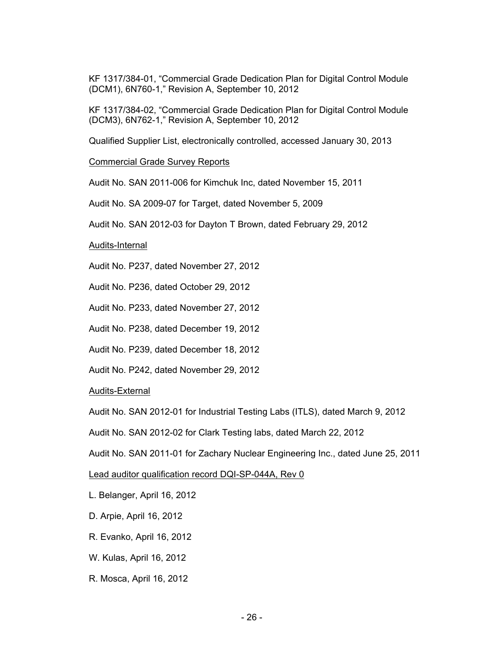KF 1317/384-01, "Commercial Grade Dedication Plan for Digital Control Module (DCM1), 6N760-1," Revision A, September 10, 2012

KF 1317/384-02, "Commercial Grade Dedication Plan for Digital Control Module (DCM3), 6N762-1," Revision A, September 10, 2012

Qualified Supplier List, electronically controlled, accessed January 30, 2013

Commercial Grade Survey Reports

Audit No. SAN 2011-006 for Kimchuk Inc, dated November 15, 2011

Audit No. SA 2009-07 for Target, dated November 5, 2009

Audit No. SAN 2012-03 for Dayton T Brown, dated February 29, 2012

Audits-Internal

Audit No. P237, dated November 27, 2012

Audit No. P236, dated October 29, 2012

Audit No. P233, dated November 27, 2012

Audit No. P238, dated December 19, 2012

Audit No. P239, dated December 18, 2012

Audit No. P242, dated November 29, 2012

Audits-External

Audit No. SAN 2012-01 for Industrial Testing Labs (ITLS), dated March 9, 2012

Audit No. SAN 2012-02 for Clark Testing labs, dated March 22, 2012

Audit No. SAN 2011-01 for Zachary Nuclear Engineering Inc., dated June 25, 2011

Lead auditor qualification record DQI-SP-044A, Rev 0

- L. Belanger, April 16, 2012
- D. Arpie, April 16, 2012
- R. Evanko, April 16, 2012
- W. Kulas, April 16, 2012
- R. Mosca, April 16, 2012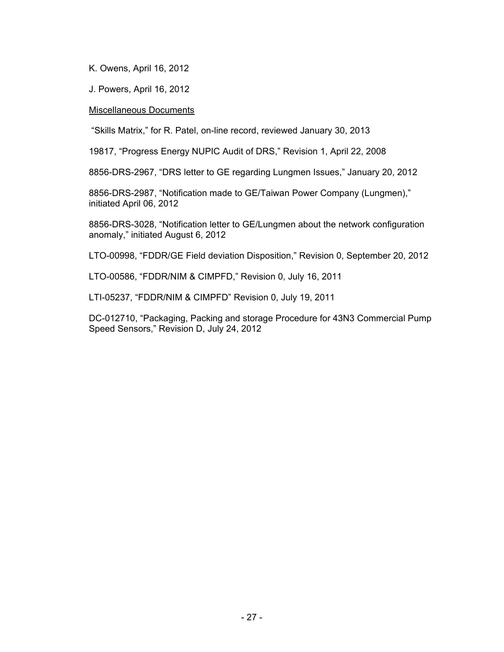K. Owens, April 16, 2012

J. Powers, April 16, 2012

### Miscellaneous Documents

"Skills Matrix," for R. Patel, on-line record, reviewed January 30, 2013

19817, "Progress Energy NUPIC Audit of DRS," Revision 1, April 22, 2008

8856-DRS-2967, "DRS letter to GE regarding Lungmen Issues," January 20, 2012

8856-DRS-2987, "Notification made to GE/Taiwan Power Company (Lungmen)," initiated April 06, 2012

8856-DRS-3028, "Notification letter to GE/Lungmen about the network configuration anomaly," initiated August 6, 2012

LTO-00998, "FDDR/GE Field deviation Disposition," Revision 0, September 20, 2012

LTO-00586, "FDDR/NIM & CIMPFD," Revision 0, July 16, 2011

LTI-05237, "FDDR/NIM & CIMPFD" Revision 0, July 19, 2011

DC-012710, "Packaging, Packing and storage Procedure for 43N3 Commercial Pump Speed Sensors," Revision D, July 24, 2012